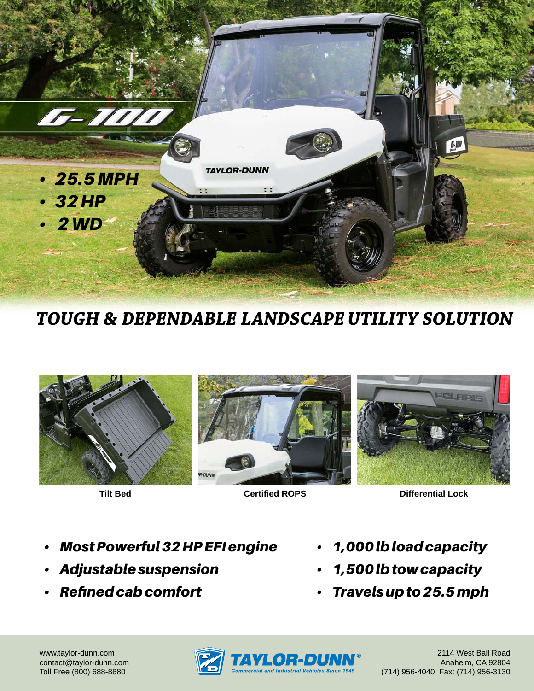

**TOUGH & DEPENDABLE LANDSCAPE UTILITY SOLUTION**







**Tilt Bed Certified ROPS Differential Lock**

- *Most Powerful 32 HP EFI engine*
- *Adjustable suspension*
- *Refined cab comfort*
- *1,000 lb load capacity*
- *1,500 lb tow capacity*
- *Travels up to 25.5 mph*